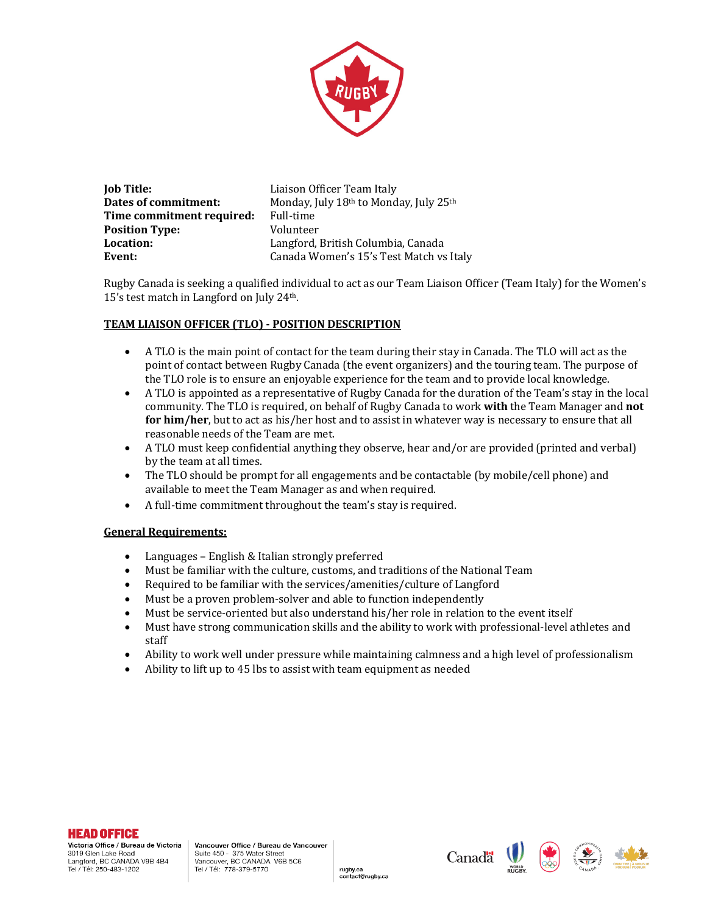

| <b>Job Title:</b>         |  |
|---------------------------|--|
| Dates of commitment:      |  |
| Time commitment required: |  |
| <b>Position Type:</b>     |  |
| Location:                 |  |
| Event:                    |  |

Liaison Officer Team Italy Monday, July 18<sup>th</sup> to Monday, July 25<sup>th</sup> **Full-time Volunteer** Langford, British Columbia, Canada Canada Women's 15's Test Match vs Italy

Rugby Canada is seeking a qualified individual to act as our Team Liaison Officer (Team Italy) for the Women's 15's test match in Langford on July  $24<sup>th</sup>$ .

# **TEAM LIAISON OFFICER (TLO) - POSITION DESCRIPTION**

- A TLO is the main point of contact for the team during their stay in Canada. The TLO will act as the point of contact between Rugby Canada (the event organizers) and the touring team. The purpose of the TLO role is to ensure an enjoyable experience for the team and to provide local knowledge.
- A TLO is appointed as a representative of Rugby Canada for the duration of the Team's stay in the local community. The TLO is required, on behalf of Rugby Canada to work with the Team Manager and not **for him/her**, but to act as his/her host and to assist in whatever way is necessary to ensure that all reasonable needs of the Team are met.
- A TLO must keep confidential anything they observe, hear and/or are provided (printed and verbal) by the team at all times.
- The TLO should be prompt for all engagements and be contactable (by mobile/cell phone) and available to meet the Team Manager as and when required.
- $\bullet$  A full-time commitment throughout the team's stay is required.

#### **General Requirements:**

- Languages English & Italian strongly preferred
- Must be familiar with the culture, customs, and traditions of the National Team
- Required to be familiar with the services/amenities/culture of Langford
- Must be a proven problem-solver and able to function independently
- Must be service-oriented but also understand his/her role in relation to the event itself

rugby.ca contact@rugby.ca

- Must have strong communication skills and the ability to work with professional-level athletes and staff
- Ability to work well under pressure while maintaining calmness and a high level of professionalism
- Ability to lift up to 45 lbs to assist with team equipment as needed

# **HEAD OFFICE**

Victoria Office / Bureau de Victoria 3019 Glen Lake Road Langford, BC CANADA V9B 4B4 Edingtona, BBC BRWTBA<br>Tel / Tél: 250-483-1202

**Canada**